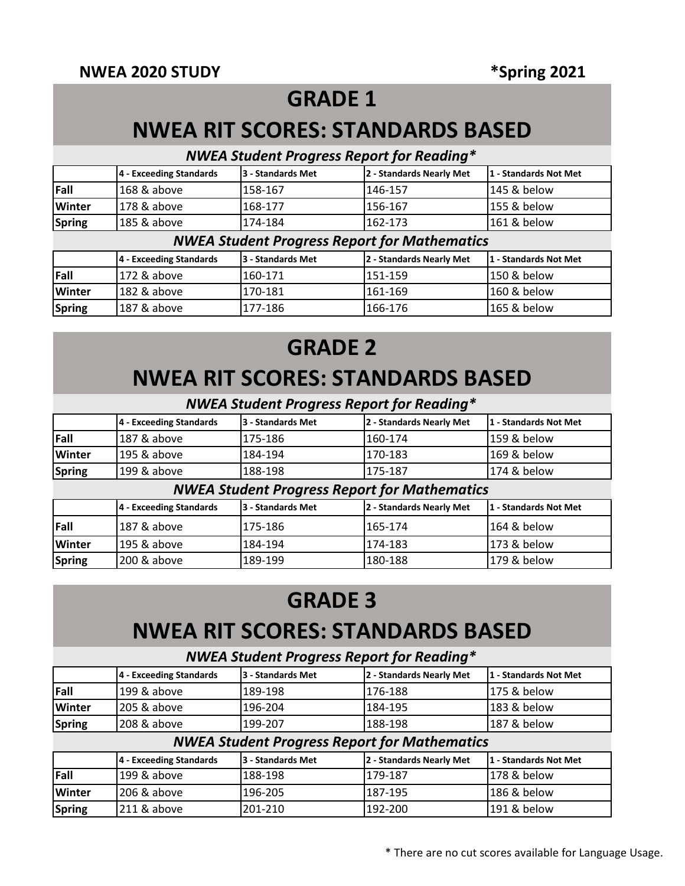## **GRADE 1**

## **NWEA RIT SCORES: STANDARDS BASED**

## *NWEA Student Progress Report for Reading\**

|                                                                   | 4 - Exceeding Standards | 3 - Standards Met | 2 - Standards Nearly Met                            | 1 - Standards Not Met |  |  |
|-------------------------------------------------------------------|-------------------------|-------------------|-----------------------------------------------------|-----------------------|--|--|
| Fall                                                              | 168 & above             | 158-167           | 146-157                                             | 145 & below           |  |  |
| <b>Winter</b>                                                     | 178 & above             | 168-177           | 156-167                                             | 155 & below           |  |  |
| <b>Spring</b>                                                     | 185 & above             | 174-184           | 162-173                                             | 161 & below           |  |  |
|                                                                   |                         |                   | <b>NWEA Student Progress Report for Mathematics</b> |                       |  |  |
|                                                                   | 4 - Exceeding Standards | 3 - Standards Met | 2 - Standards Nearly Met                            | 1 - Standards Not Met |  |  |
| <b>Fall</b>                                                       | 172 & above             | 160-171           | 151-159                                             | 150 & below           |  |  |
| <b>Winter</b><br>182 & above<br>160 & below<br>170-181<br>161-169 |                         |                   |                                                     |                       |  |  |
| <b>Spring</b>                                                     | 187 & above             | 177-186           | 166-176                                             | 165 & below           |  |  |

# **GRADE 2 NWEA RIT SCORES: STANDARDS BASED**

### *NWEA Student Progress Report for Reading\**

|               | 4 - Exceeding Standards | 3 - Standards Met | 12 - Standards Nearly Met | 11 - Standards Not Met |
|---------------|-------------------------|-------------------|---------------------------|------------------------|
| Fall          | 187 & above             | 175-186           | 160-174                   | 159 & below            |
| <b>Winter</b> | 1195 & above            | 184-194           | 170-183                   | 169 & below            |
| Spring        | 1199 & above            | 188-198           | 175-187                   | 174 & below            |

#### *NWEA Student Progress Report for Mathematics*

|               | 4 - Exceeding Standards | 13 - Standards Met | 2 - Standards Nearly Met | l 1 - Standards Not Met |
|---------------|-------------------------|--------------------|--------------------------|-------------------------|
| <b>Fall</b>   | 1187 & above            | 175-186            | 165-174                  | 164 & below             |
| <b>Winter</b> | 1195 & above            | 184-194            | 1174-183                 | 173 & below             |
| Spring        | 1200 & above            | 189-199            | 180-188                  | l179 & below            |

## **GRADE 3**

## **NWEA RIT SCORES: STANDARDS BASED**

#### *NWEA Student Progress Report for Reading\**

|               | 4 - Exceeding Standards | 3 - Standards Met | 2 - Standards Nearly Met                            | 1 - Standards Not Met |
|---------------|-------------------------|-------------------|-----------------------------------------------------|-----------------------|
| Fall          | 199 & above             | 189-198           | 176-188                                             | 175 & below           |
| <b>Winter</b> | 205 & above             | 196-204           | 184-195                                             | 183 & below           |
| <b>Spring</b> | 208 & above             | 199-207           | 188-198                                             | 187 & below           |
|               |                         |                   | <b>NWEA Student Progress Report for Mathematics</b> |                       |
|               | 4 - Exceeding Standards | 3 - Standards Met | 2 - Standards Nearly Met                            | 1 - Standards Not Met |
| Fall          | 199 & above             | 188-198           | 179-187                                             | 178 & below           |
| <b>Winter</b> | 206 & above             | 196-205           | 187-195                                             | 186 & below           |
| <b>Spring</b> | 211 & above             | 201-210           | 192-200                                             | 191 & below           |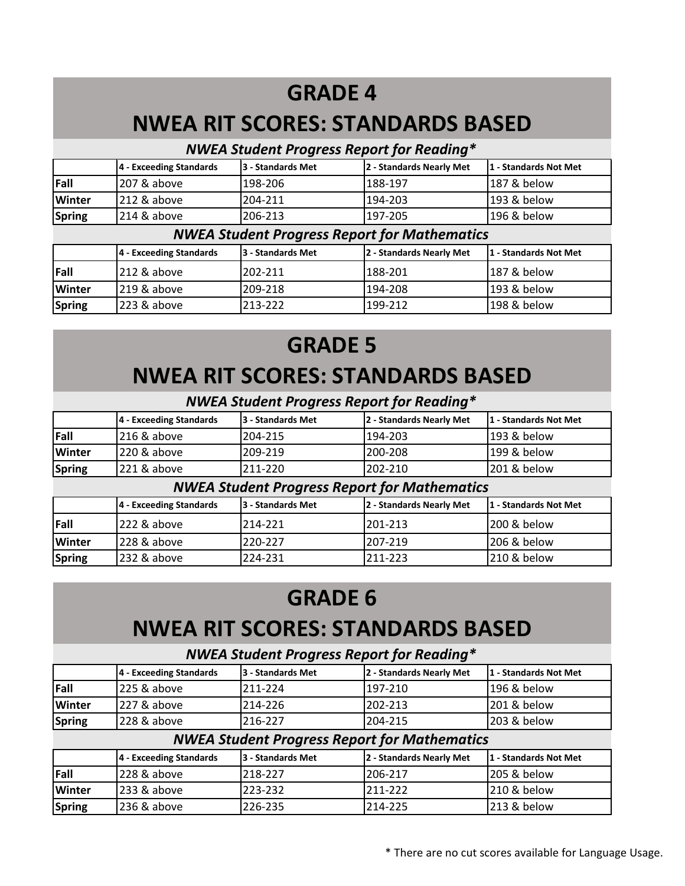# **GRADE 4**

## **NWEA RIT SCORES: STANDARDS BASED**

### *NWEA Student Progress Report for Reading\**

|               | 4 - Exceeding Standards | 3 - Standards Met | 2 - Standards Nearly Met | 1 - Standards Not Met |
|---------------|-------------------------|-------------------|--------------------------|-----------------------|
| Fall          | 207 & above             | 198-206           | 188-197                  | 187 & below           |
| <b>Winter</b> | 1212 & above            | 204-211           | 194-203                  | 193 & below           |
| <b>Spring</b> | 214 & above             | 206-213           | 1197-205                 | 196 & below           |

### *NWEA Student Progress Report for Mathematics*

|               | 4 - Exceeding Standards | <b>3 - Standards Met</b> | 12 - Standards Nearly Met | 11 - Standards Not Met |
|---------------|-------------------------|--------------------------|---------------------------|------------------------|
| Fall          | 212 & above             | 202-211                  | 188-201                   | 187 & below            |
| <b>Winter</b> | $1219$ & above          | 209-218                  | 194-208                   | 193 & below            |
| Spring        | $ 223 \& above$         | 213-222                  | 199-212                   | 198 & below            |

# **GRADE 5 NWEA RIT SCORES: STANDARDS BASED**

### *NWEA Student Progress Report for Reading\**

|                                                            | 4 - Exceeding Standards | 3 - Standards Met | 2 - Standards Nearly Met                            | 1 - Standards Not Met |  |  |
|------------------------------------------------------------|-------------------------|-------------------|-----------------------------------------------------|-----------------------|--|--|
| Fall                                                       | 216 & above             | 204-215           | 194-203                                             | 193 & below           |  |  |
| Winter                                                     | 220 & above             | 209-219           | 200-208                                             | 199 & below           |  |  |
| <b>Spring</b>                                              | 221 & above             | 211-220           | 202-210                                             | 201 & below           |  |  |
|                                                            |                         |                   | <b>NWEA Student Progress Report for Mathematics</b> |                       |  |  |
|                                                            | 4 - Exceeding Standards | 3 - Standards Met | 2 - Standards Nearly Met                            | 1 - Standards Not Met |  |  |
| Fall                                                       | 222 & above             | 214-221           | 201-213                                             | 200 & below           |  |  |
| Winter<br>228 & above<br>207-219<br>206 & below<br>220-227 |                         |                   |                                                     |                       |  |  |
| <b>Spring</b>                                              | 232 & above             | 224-231           | 211-223                                             | 210 & below           |  |  |

# **GRADE 6**

# **NWEA RIT SCORES: STANDARDS BASED**

### *NWEA Student Progress Report for Reading\**

|               | 4 - Exceeding Standards | 13 - Standards Met | 2 - Standards Nearly Met | l 1 - Standards Not Met |
|---------------|-------------------------|--------------------|--------------------------|-------------------------|
| <b>IFall</b>  | 225 & above             | 211-224            | 1197-210                 | 196 & below             |
| <b>Winter</b> | $1227$ & above          | 214-226            | 1202-213                 | 1201 & below            |
| Spring        | 1228 & above            | 216-227            | 204-215                  | 203 & below             |

### *NWEA Student Progress Report for Mathematics*

|               | 4 - Exceeding Standards | 13 - Standards Met | 2 - Standards Nearly Met | 11 - Standards Not Met |
|---------------|-------------------------|--------------------|--------------------------|------------------------|
| <b>IFall</b>  | 228 & above             | 218-227            | 206-217                  | 205 & below            |
| <b>Winter</b> | $ 233 \& above$         | 223-232            | 211-222                  | 210 & below            |
| Spring        | 236 & above             | 226-235            | 214-225                  | 213 & below            |